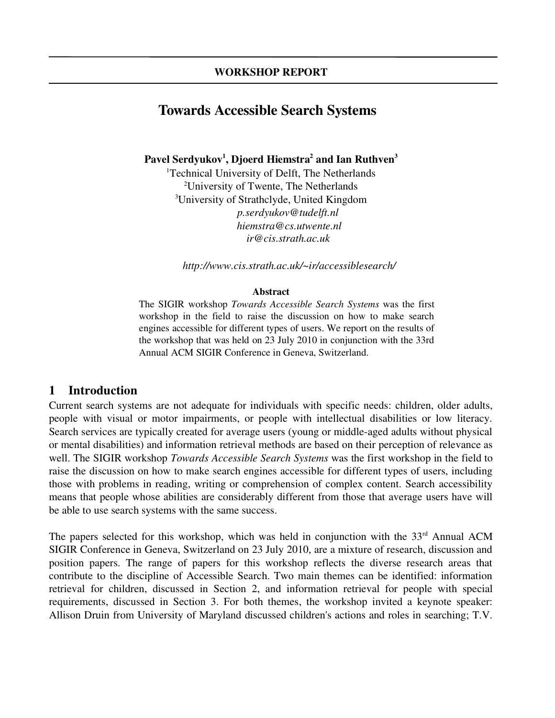# Towards Accessible Search Systems

Pavel Serdyukov $^1$ , Djoerd Hiemstra $^2$  and Ian Ruthven $^3$ 

<sup>1</sup>Technical University of Delft, The Netherlands <sup>2</sup>University of Twente, The Netherlands <sup>3</sup>University of Strathclyde, United Kingdom *p.serdyukov@tudelft.nl hiemstra@cs.utwente.nl ir@cis.strath.ac.uk*

*http://www.cis.strath.ac.uk/~ir/accessiblesearch/*

#### Abstract

The SIGIR workshop *Towards Accessible Search Systems* was the first workshop in the field to raise the discussion on how to make search engines accessible for different types of users. We report on the results of the workshop that was held on 23 July 2010 in conjunction with the 33rd Annual ACM SIGIR Conference in Geneva, Switzerland.

# 1 Introduction

Current search systems are not adequate for individuals with specific needs: children, older adults, people with visual or motor impairments, or people with intellectual disabilities or low literacy. Search services are typically created for average users (young or middle-aged adults without physical or mental disabilities) and information retrieval methods are based on their perception of relevance as well. The SIGIR workshop *Towards Accessible Search Systems* was the first workshop in the field to raise the discussion on how to make search engines accessible for different types of users, including those with problems in reading, writing or comprehension of complex content. Search accessibility means that people whose abilities are considerably different from those that average users have will be able to use search systems with the same success.

The papers selected for this workshop, which was held in conjunction with the  $33<sup>rd</sup>$  Annual ACM SIGIR Conference in Geneva, Switzerland on 23 July 2010, are a mixture of research, discussion and position papers. The range of papers for this workshop reflects the diverse research areas that contribute to the discipline of Accessible Search. Two main themes can be identified: information retrieval for children, discussed in Section 2, and information retrieval for people with special requirements, discussed in Section 3. For both themes, the workshop invited a keynote speaker: Allison Druin from University of Maryland discussed children's actions and roles in searching; T.V.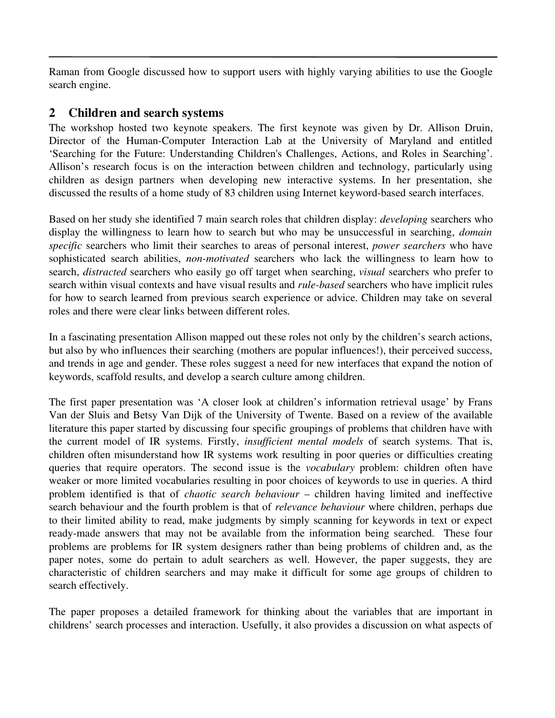Raman from Google discussed how to support users with highly varying abilities to use the Google search engine.

### 2 Children and search systems

The workshop hosted two keynote speakers. The first keynote was given by Dr. Allison Druin, Director of the Human-Computer Interaction Lab at the University of Maryland and entitled 'Searching for the Future: Understanding Children's Challenges, Actions, and Roles in Searching'. Allison's research focus is on the interaction between children and technology, particularly using children as design partners when developing new interactive systems. In her presentation, she discussed the results of a home study of 83 children using Internet keyword-based search interfaces.

Based on her study she identified 7 main search roles that children display: *developing* searchers who display the willingness to learn how to search but who may be unsuccessful in searching, *domain specific* searchers who limit their searches to areas of personal interest, *power searchers* who have sophisticated search abilities, *non-motivated* searchers who lack the willingness to learn how to search, *distracted* searchers who easily go off target when searching, *visual* searchers who prefer to search within visual contexts and have visual results and *rule-based* searchers who have implicit rules for how to search learned from previous search experience or advice. Children may take on several roles and there were clear links between different roles.

In a fascinating presentation Allison mapped out these roles not only by the children's search actions, but also by who influences their searching (mothers are popular influences!), their perceived success, and trends in age and gender. These roles suggest a need for new interfaces that expand the notion of keywords, scaffold results, and develop a search culture among children.

The first paper presentation was 'A closer look at children's information retrieval usage' by Frans Van der Sluis and Betsy Van Dijk of the University of Twente. Based on a review of the available literature this paper started by discussing four specific groupings of problems that children have with the current model of IR systems. Firstly, *insufficient mental models* of search systems. That is, children often misunderstand how IR systems work resulting in poor queries or difficulties creating queries that require operators. The second issue is the *vocabulary* problem: children often have weaker or more limited vocabularies resulting in poor choices of keywords to use in queries. A third problem identified is that of *chaotic search behaviour* – children having limited and ineffective search behaviour and the fourth problem is that of *relevance behaviour* where children, perhaps due to their limited ability to read, make judgments by simply scanning for keywords in text or expect ready-made answers that may not be available from the information being searched. These four problems are problems for IR system designers rather than being problems of children and, as the paper notes, some do pertain to adult searchers as well. However, the paper suggests, they are characteristic of children searchers and may make it difficult for some age groups of children to search effectively.

The paper proposes a detailed framework for thinking about the variables that are important in childrens' search processes and interaction. Usefully, it also provides a discussion on what aspects of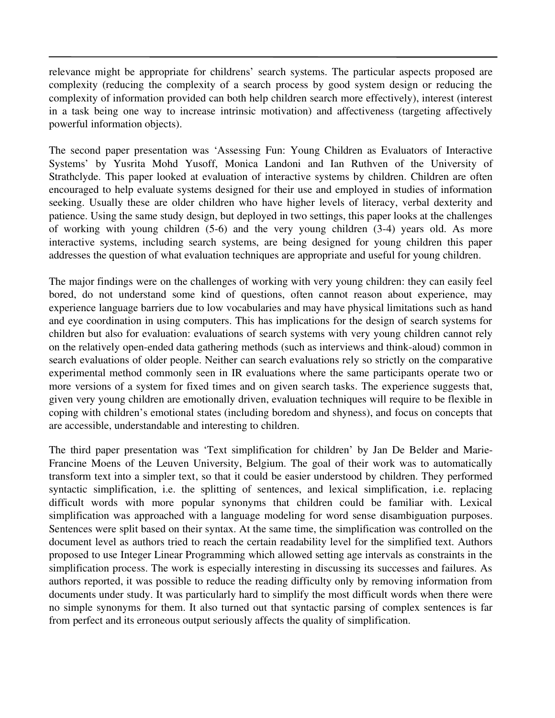relevance might be appropriate for childrens' search systems. The particular aspects proposed are complexity (reducing the complexity of a search process by good system design or reducing the complexity of information provided can both help children search more effectively), interest (interest in a task being one way to increase intrinsic motivation) and affectiveness (targeting affectively powerful information objects).

The second paper presentation was 'Assessing Fun: Young Children as Evaluators of Interactive Systems' by Yusrita Mohd Yusoff, Monica Landoni and Ian Ruthven of the University of Strathclyde. This paper looked at evaluation of interactive systems by children. Children are often encouraged to help evaluate systems designed for their use and employed in studies of information seeking. Usually these are older children who have higher levels of literacy, verbal dexterity and patience. Using the same study design, but deployed in two settings, this paper looks at the challenges of working with young children (5-6) and the very young children (3-4) years old. As more interactive systems, including search systems, are being designed for young children this paper addresses the question of what evaluation techniques are appropriate and useful for young children.

The major findings were on the challenges of working with very young children: they can easily feel bored, do not understand some kind of questions, often cannot reason about experience, may experience language barriers due to low vocabularies and may have physical limitations such as hand and eye coordination in using computers. This has implications for the design of search systems for children but also for evaluation: evaluations of search systems with very young children cannot rely on the relatively open-ended data gathering methods (such as interviews and think-aloud) common in search evaluations of older people. Neither can search evaluations rely so strictly on the comparative experimental method commonly seen in IR evaluations where the same participants operate two or more versions of a system for fixed times and on given search tasks. The experience suggests that, given very young children are emotionally driven, evaluation techniques will require to be flexible in coping with children's emotional states (including boredom and shyness), and focus on concepts that are accessible, understandable and interesting to children.

The third paper presentation was 'Text simplification for children' by Jan De Belder and Marie-Francine Moens of the Leuven University, Belgium. The goal of their work was to automatically transform text into a simpler text, so that it could be easier understood by children. They performed syntactic simplification, i.e. the splitting of sentences, and lexical simplification, i.e. replacing difficult words with more popular synonyms that children could be familiar with. Lexical simplification was approached with a language modeling for word sense disambiguation purposes. Sentences were split based on their syntax. At the same time, the simplification was controlled on the document level as authors tried to reach the certain readability level for the simplified text. Authors proposed to use Integer Linear Programming which allowed setting age intervals as constraints in the simplification process. The work is especially interesting in discussing its successes and failures. As authors reported, it was possible to reduce the reading difficulty only by removing information from documents under study. It was particularly hard to simplify the most difficult words when there were no simple synonyms for them. It also turned out that syntactic parsing of complex sentences is far from perfect and its erroneous output seriously affects the quality of simplification.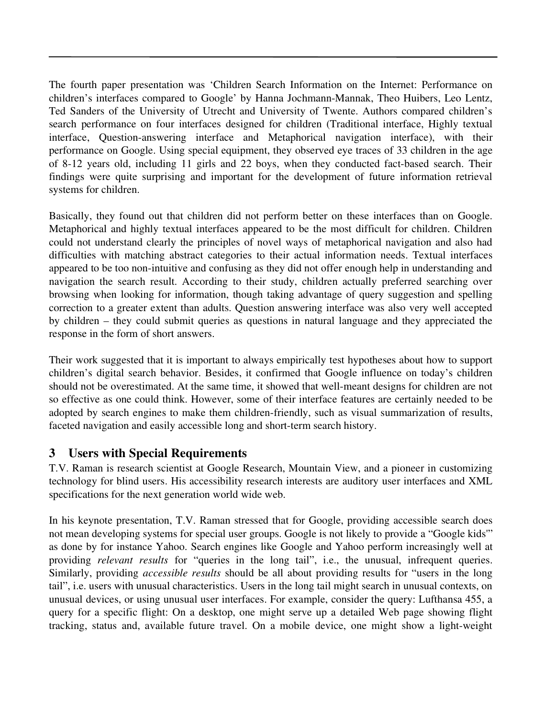The fourth paper presentation was 'Children Search Information on the Internet: Performance on children's interfaces compared to Google' by Hanna Jochmann-Mannak, Theo Huibers, Leo Lentz, Ted Sanders of the University of Utrecht and University of Twente. Authors compared children's search performance on four interfaces designed for children (Traditional interface, Highly textual interface, Question-answering interface and Metaphorical navigation interface), with their performance on Google. Using special equipment, they observed eye traces of 33 children in the age of 8-12 years old, including 11 girls and 22 boys, when they conducted fact-based search. Their findings were quite surprising and important for the development of future information retrieval systems for children.

Basically, they found out that children did not perform better on these interfaces than on Google. Metaphorical and highly textual interfaces appeared to be the most difficult for children. Children could not understand clearly the principles of novel ways of metaphorical navigation and also had difficulties with matching abstract categories to their actual information needs. Textual interfaces appeared to be too non-intuitive and confusing as they did not offer enough help in understanding and navigation the search result. According to their study, children actually preferred searching over browsing when looking for information, though taking advantage of query suggestion and spelling correction to a greater extent than adults. Question answering interface was also very well accepted by children – they could submit queries as questions in natural language and they appreciated the response in the form of short answers.

Their work suggested that it is important to always empirically test hypotheses about how to support children's digital search behavior. Besides, it confirmed that Google influence on today's children should not be overestimated. At the same time, it showed that well-meant designs for children are not so effective as one could think. However, some of their interface features are certainly needed to be adopted by search engines to make them children-friendly, such as visual summarization of results, faceted navigation and easily accessible long and short-term search history.

#### 3 Users with Special Requirements

T.V. Raman is research scientist at Google Research, Mountain View, and a pioneer in customizing technology for blind users. His accessibility research interests are auditory user interfaces and XML specifications for the next generation world wide web.

In his keynote presentation, T.V. Raman stressed that for Google, providing accessible search does not mean developing systems for special user groups. Google is not likely to provide a "Google kids'" as done by for instance Yahoo. Search engines like Google and Yahoo perform increasingly well at providing *relevant results* for "queries in the long tail", i.e., the unusual, infrequent queries. Similarly, providing *accessible results* should be all about providing results for "users in the long tail", i.e. users with unusual characteristics. Users in the long tail might search in unusual contexts, on unusual devices, or using unusual user interfaces. For example, consider the query: Lufthansa 455, a query for a specific flight: On a desktop, one might serve up a detailed Web page showing flight tracking, status and, available future travel. On a mobile device, one might show a light-weight